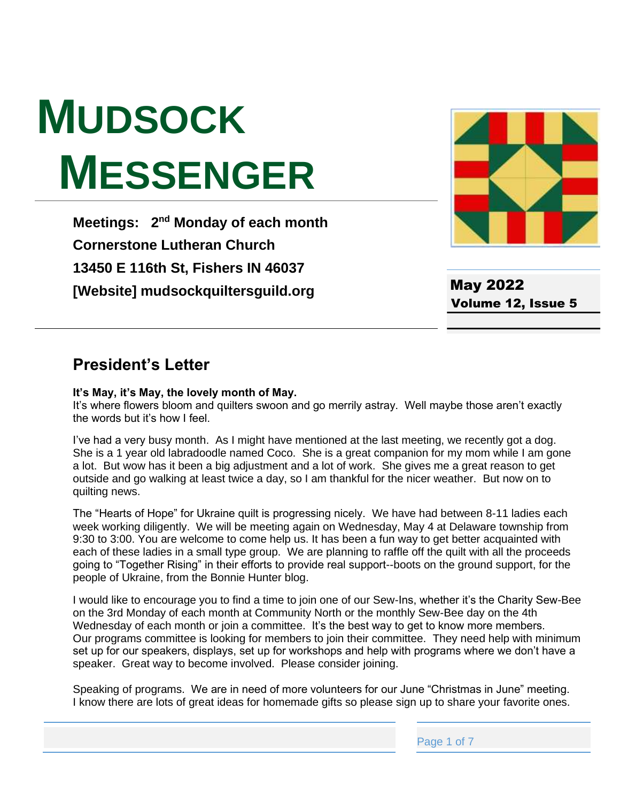# **MUDSOCK MESSENGER**

**Meetings: 2<sup>nd</sup> Monday of each month Cornerstone Lutheran Church 13450 E 116th St, Fishers IN 46037 [Website] mudsockquiltersguild.org**



May 2022 Volume 12, Issue 5

### **President's Letter**

#### **It's May, it's May, the lovely month of May.**

It's where flowers bloom and quilters swoon and go merrily astray. Well maybe those aren't exactly the words but it's how I feel.

I've had a very busy month. As I might have mentioned at the last meeting, we recently got a dog. She is a 1 year old labradoodle named Coco. She is a great companion for my mom while I am gone a lot. But wow has it been a big adjustment and a lot of work. She gives me a great reason to get outside and go walking at least twice a day, so I am thankful for the nicer weather. But now on to quilting news.

The "Hearts of Hope" for Ukraine quilt is progressing nicely. We have had between 8-11 ladies each week working diligently. We will be meeting again on Wednesday, May 4 at Delaware township from 9:30 to 3:00. You are welcome to come help us. It has been a fun way to get better acquainted with each of these ladies in a small type group. We are planning to raffle off the quilt with all the proceeds going to "Together Rising" in their efforts to provide real support--boots on the ground support, for the people of Ukraine, from the Bonnie Hunter blog.

I would like to encourage you to find a time to join one of our Sew-Ins, whether it's the Charity Sew-Bee on the 3rd Monday of each month at Community North or the monthly Sew-Bee day on the 4th Wednesday of each month or join a committee. It's the best way to get to know more members. Our programs committee is looking for members to join their committee. They need help with minimum set up for our speakers, displays, set up for workshops and help with programs where we don't have a speaker. Great way to become involved. Please consider joining.

Speaking of programs. We are in need of more volunteers for our June "Christmas in June" meeting. I know there are lots of great ideas for homemade gifts so please sign up to share your favorite ones.

Page 1 of 7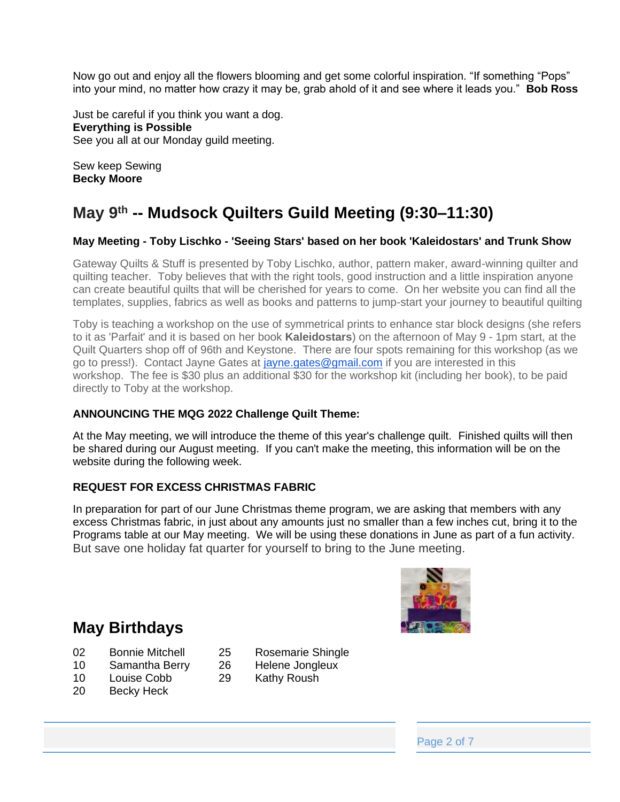Now go out and enjoy all the flowers blooming and get some colorful inspiration. "If something "Pops" into your mind, no matter how crazy it may be, grab ahold of it and see where it leads you." **Bob Ross**

Just be careful if you think you want a dog. **Everything is Possible** See you all at our Monday guild meeting.

Sew keep Sewing **Becky Moore**

# **May 9 th -- Mudsock Quilters Guild Meeting (9:30–11:30)**

#### **May Meeting - Toby Lischko - 'Seeing Stars' based on her book 'Kaleidostars' and Trunk Show**

Gateway Quilts & Stuff is presented by Toby Lischko, author, pattern maker, award-winning quilter and quilting teacher. Toby believes that with the right tools, good instruction and a little inspiration anyone can create beautiful quilts that will be cherished for years to come. On her website you can find all the templates, supplies, fabrics as well as books and patterns to jump-start your journey to beautiful quilting

Toby is teaching a workshop on the use of symmetrical prints to enhance star block designs (she refers to it as 'Parfait' and it is based on her book **Kaleidostars**) on the afternoon of May 9 - 1pm start, at the Quilt Quarters shop off of 96th and Keystone. There are four spots remaining for this workshop (as we go to press!). Contact Jayne Gates at [jayne.gates@gmail.com](mailto:jayne.gates@gmail.com) if you are interested in this workshop. The fee is \$30 plus an additional \$30 for the workshop kit (including her book), to be paid directly to Toby at the workshop.

#### **ANNOUNCING THE MQG 2022 Challenge Quilt Theme:**

At the May meeting, we will introduce the theme of this year's challenge quilt. Finished quilts will then be shared during our August meeting. If you can't make the meeting, this information will be on the website during the following week.

#### **REQUEST FOR EXCESS CHRISTMAS FABRIC**

In preparation for part of our June Christmas theme program, we are asking that members with any excess Christmas fabric, in just about any amounts just no smaller than a few inches cut, bring it to the Programs table at our May meeting. We will be using these donations in June as part of a fun activity. But save one holiday fat quarter for yourself to bring to the June meeting.



#### **May Birthdays**

- 02 Bonnie Mitchell 25 Rosemarie Shingle
	-
- 10 Samantha Berry 26 Helene Jongleux
- 10 Louise Cobb 29 Kathy Roush
- 20 Becky Heck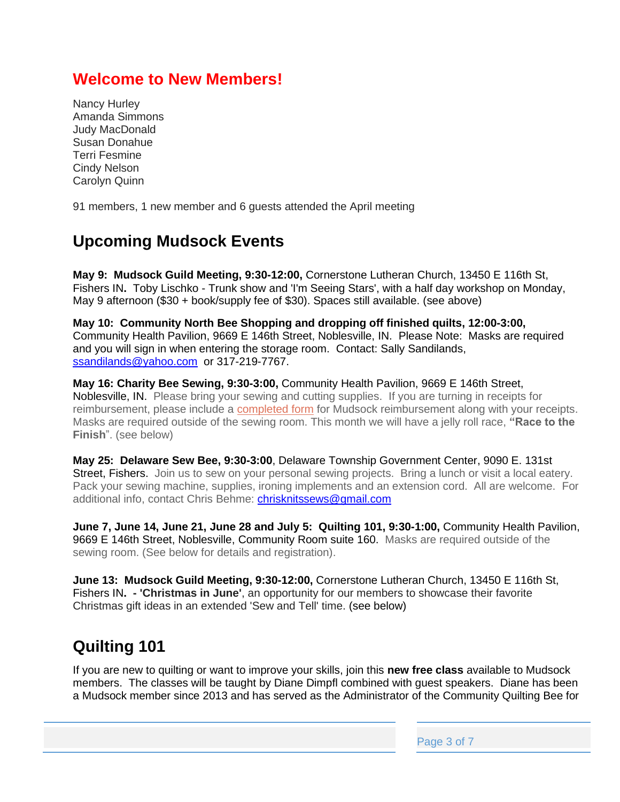## **Welcome to New Members!**

Nancy Hurley Amanda Simmons Judy MacDonald Susan Donahue Terri Fesmine Cindy Nelson Carolyn Quinn

91 members, 1 new member and 6 guests attended the April meeting

## **Upcoming Mudsock Events**

**May 9: Mudsock Guild Meeting, 9:30-12:00,** Cornerstone Lutheran Church, 13450 E 116th St, Fishers IN**.** Toby Lischko - Trunk show and 'I'm Seeing Stars', with a half day workshop on Monday, May 9 afternoon (\$30 + book/supply fee of \$30). Spaces still available. (see above)

**May 10: Community North Bee Shopping and dropping off finished quilts, 12:00-3:00,**  Community Health Pavilion, 9669 E 146th Street, Noblesville, IN. Please Note: Masks are required and you will sign in when entering the storage room. Contact: Sally Sandilands, [ssandilands@yahoo.com](mailto:ssandilands@yahoo.com) or 317-219-7767.

**May 16: Charity Bee Sewing, 9:30-3:00,** Community Health Pavilion, 9669 E 146th Street, Noblesville, IN. Please bring your sewing and cutting supplies. If you are turning in receipts for reimbursement, please include a [completed form](https://mudsockquiltersguild.org/wp-content/uploads/2019/10/expense-reimb-form.pdf) for Mudsock reimbursement along with your receipts. Masks are required outside of the sewing room. This month we will have a jelly roll race, **"Race to the Finish**". (see below)

**May 25: Delaware Sew Bee, 9:30-3:00**, Delaware Township Government Center, 9090 E. 131st Street, Fishers. Join us to sew on your personal sewing projects. Bring a lunch or visit a local eatery. Pack your sewing machine, supplies, ironing implements and an extension cord. All are welcome. For additional info, contact Chris Behme: [chrisknitssews@gmail.com](mailto:chrisknitssews@gmail.com)

**June 7, June 14, June 21, June 28 and July 5: Quilting 101, 9:30-1:00,** Community Health Pavilion, 9669 E 146th Street, Noblesville, Community Room suite 160. Masks are required outside of the sewing room. (See below for details and registration).

**June 13: Mudsock Guild Meeting, 9:30-12:00,** Cornerstone Lutheran Church, 13450 E 116th St, Fishers IN**. - 'Christmas in June'**, an opportunity for our members to showcase their favorite Christmas gift ideas in an extended 'Sew and Tell' time. (see below)

## **Quilting 101**

If you are new to quilting or want to improve your skills, join this **new free class** available to Mudsock members. The classes will be taught by Diane Dimpfl combined with guest speakers. Diane has been a Mudsock member since 2013 and has served as the Administrator of the Community Quilting Bee for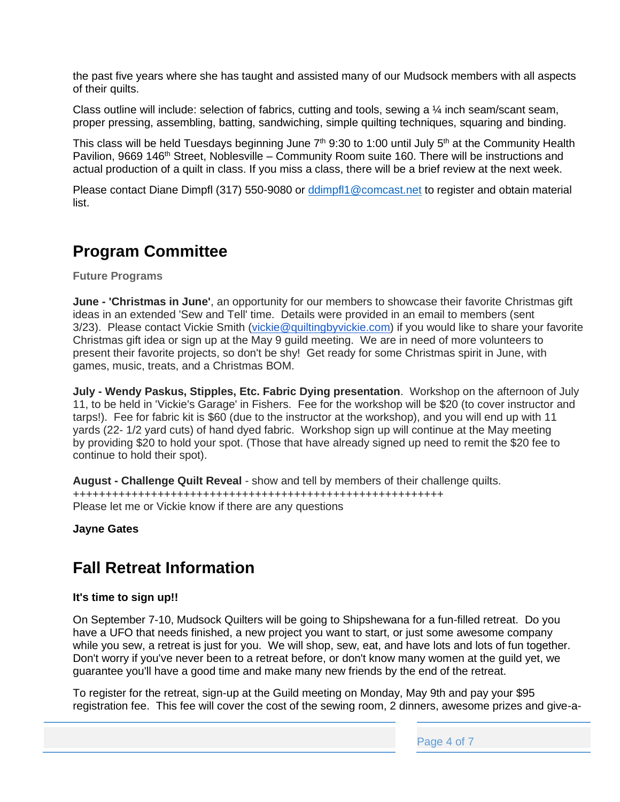the past five years where she has taught and assisted many of our Mudsock members with all aspects of their quilts.

Class outline will include: selection of fabrics, cutting and tools, sewing a  $\frac{1}{4}$  inch seam/scant seam, proper pressing, assembling, batting, sandwiching, simple quilting techniques, squaring and binding.

This class will be held Tuesdays beginning June  $7<sup>th</sup>$  9:30 to 1:00 until July  $5<sup>th</sup>$  at the Community Health Pavilion, 9669 146<sup>th</sup> Street, Noblesville – Community Room suite 160. There will be instructions and actual production of a quilt in class. If you miss a class, there will be a brief review at the next week.

Please contact Diane Dimpfl (317) 550-9080 or [ddimpfl1@comcast.net](mailto:ddimpfl1@comcast.net) to register and obtain material list.

## **Program Committee**

**Future Programs**

**June - 'Christmas in June'**, an opportunity for our members to showcase their favorite Christmas gift ideas in an extended 'Sew and Tell' time. Details were provided in an email to members (sent 3/23). Please contact Vickie Smith [\(vickie@quiltingbyvickie.com\)](mailto:vickie@quiltingbyvickie.com) if you would like to share your favorite Christmas gift idea or sign up at the May 9 guild meeting. We are in need of more volunteers to present their favorite projects, so don't be shy! Get ready for some Christmas spirit in June, with games, music, treats, and a Christmas BOM.

**July - Wendy Paskus, Stipples, Etc. Fabric Dying presentation**. Workshop on the afternoon of July 11, to be held in 'Vickie's Garage' in Fishers. Fee for the workshop will be \$20 (to cover instructor and tarps!). Fee for fabric kit is \$60 (due to the instructor at the workshop), and you will end up with 11 yards (22- 1/2 yard cuts) of hand dyed fabric. Workshop sign up will continue at the May meeting by providing \$20 to hold your spot. (Those that have already signed up need to remit the \$20 fee to continue to hold their spot).

**August - Challenge Quilt Reveal** - show and tell by members of their challenge quilts. +++++++++++++++++++++++++++++++++++++++++++++++++++++++++ Please let me or Vickie know if there are any questions

**Jayne Gates**

## **Fall Retreat Information**

#### **It's time to sign up!!**

On September 7-10, Mudsock Quilters will be going to Shipshewana for a fun-filled retreat. Do you have a UFO that needs finished, a new project you want to start, or just some awesome company while you sew, a retreat is just for you. We will shop, sew, eat, and have lots and lots of fun together. Don't worry if you've never been to a retreat before, or don't know many women at the guild yet, we guarantee you'll have a good time and make many new friends by the end of the retreat.

To register for the retreat, sign-up at the Guild meeting on Monday, May 9th and pay your \$95 registration fee. This fee will cover the cost of the sewing room, 2 dinners, awesome prizes and give-a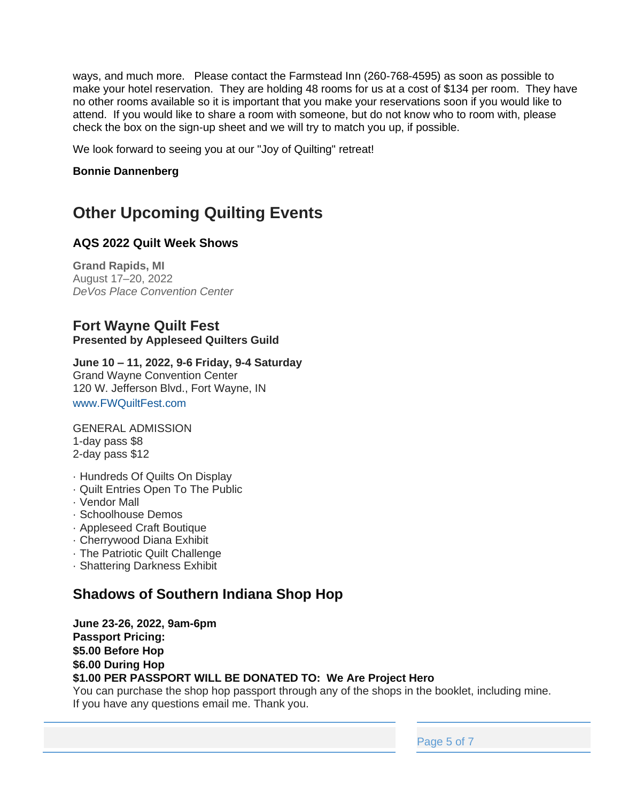ways, and much more. Please contact the Farmstead Inn (260-768-4595) as soon as possible to make your hotel reservation. They are holding 48 rooms for us at a cost of \$134 per room. They have no other rooms available so it is important that you make your reservations soon if you would like to attend. If you would like to share a room with someone, but do not know who to room with, please check the box on the sign-up sheet and we will try to match you up, if possible.

We look forward to seeing you at our "Joy of Quilting" retreat!

#### **Bonnie Dannenberg**

## **Other Upcoming Quilting Events**

#### **AQS 2022 Quilt Week Shows**

**Grand Rapids, MI** August 17–20, 2022 *DeVos Place Convention Center*

#### **Fort Wayne Quilt Fest Presented by Appleseed Quilters Guild**

**June 10 – 11, 2022, 9-6 Friday, 9-4 Saturday** Grand Wayne Convention Center 120 W. Jefferson Blvd., Fort Wayne, IN www.FWQuiltFest.com

GENERAL ADMISSION 1-day pass \$8 2-day pass \$12

- · Hundreds Of Quilts On Display
- · Quilt Entries Open To The Public
- · Vendor Mall
- · Schoolhouse Demos
- · Appleseed Craft Boutique
- · Cherrywood Diana Exhibit
- · The Patriotic Quilt Challenge
- · Shattering Darkness Exhibit

#### **Shadows of Southern Indiana Shop Hop**

**June 23-26, 2022, 9am-6pm Passport Pricing: \$5.00 Before Hop \$6.00 During Hop \$1.00 PER PASSPORT WILL BE DONATED TO: We Are Project Hero**

You can purchase the shop hop passport through any of the shops in the booklet, including mine. If you have any questions email me. Thank you.

Page 5 of 7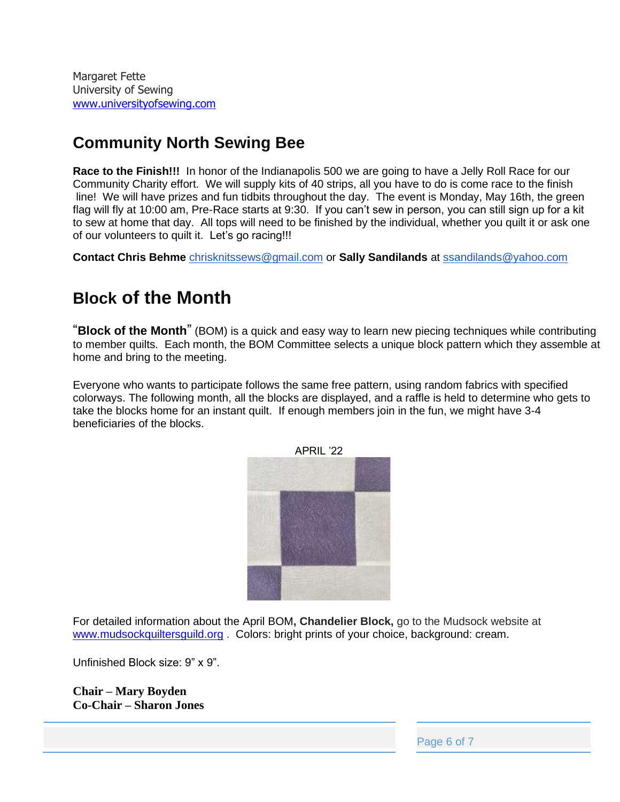Margaret Fette University of Sewing [www.universityofsewing.com](http://www.universityofsewing.com/)

## **Community North Sewing Bee**

**Race to the Finish!!!** In honor of the Indianapolis 500 we are going to have a Jelly Roll Race for our Community Charity effort. We will supply kits of 40 strips, all you have to do is come race to the finish line! We will have prizes and fun tidbits throughout the day. The event is Monday, May 16th, the green flag will fly at 10:00 am, Pre-Race starts at 9:30. If you can't sew in person, you can still sign up for a kit to sew at home that day. All tops will need to be finished by the individual, whether you quilt it or ask one of our volunteers to quilt it. Let's go racing!!!

**Contact Chris Behme** [chrisknitssews@gmail.com](mailto:chrisknitssews@gmail.com) or **Sally Sandilands** at [ssandilands@yahoo.com](mailto:ssandilands@yahoo.com)

# **Block of the Month**

"**Block of the Month**" (BOM) is a quick and easy way to learn new piecing techniques while contributing to member quilts. Each month, the BOM Committee selects a unique block pattern which they assemble at home and bring to the meeting.

Everyone who wants to participate follows the same free pattern, using random fabrics with specified colorways. The following month, all the blocks are displayed, and a raffle is held to determine who gets to take the blocks home for an instant quilt. If enough members join in the fun, we might have 3-4 beneficiaries of the blocks.



For detailed information about the April BOM**, Chandelier Block,** go to the Mudsock website at

[www.mudsockquiltersguild.org](http://www.mudsockquiltersguild.org/) . Colors: bright prints of your choice, background: cream.

Unfinished Block size: 9" x 9".

**Chair – Mary Boyden Co-Chair – Sharon Jones**

Page 6 of 7